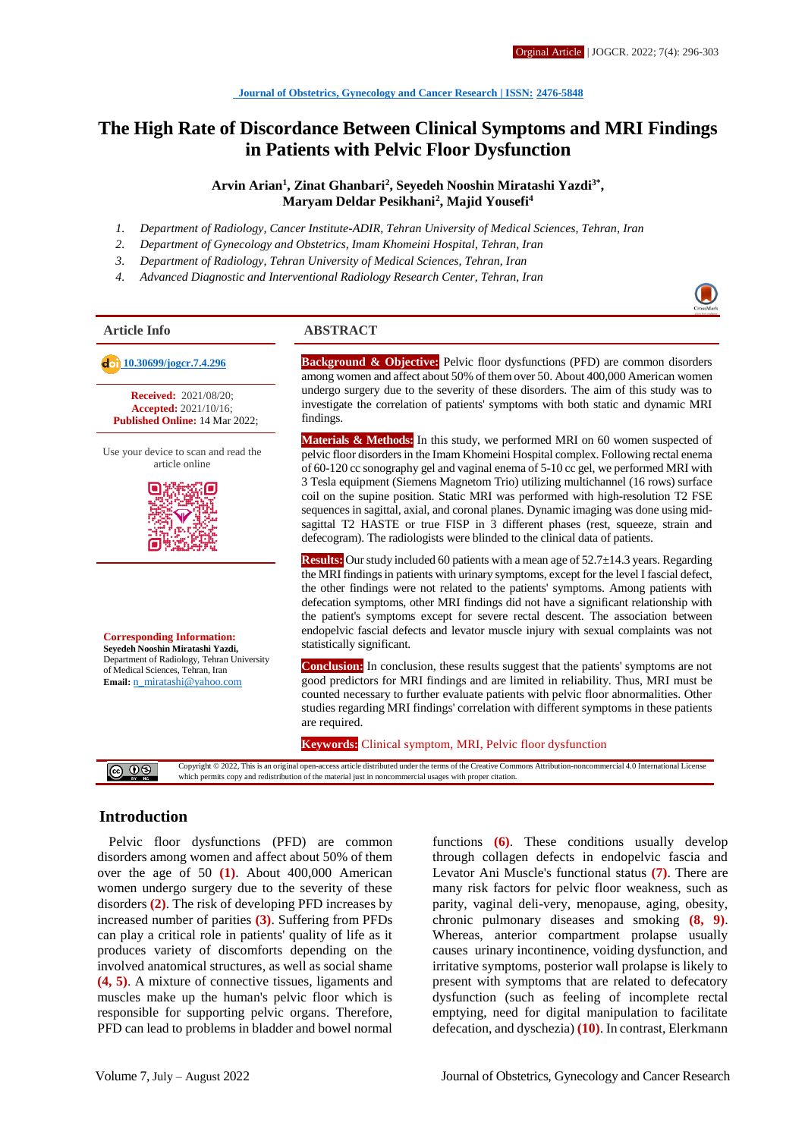# **The High Rate of Discordance Between Clinical Symptoms and MRI Findings in Patients with Pelvic Floor Dysfunction**

**Arvin Arian<sup>1</sup> , Zinat Ghanbari<sup>2</sup> , Seyedeh Nooshin Miratashi Yazdi3\* , Maryam Deldar Pesikhani<sup>2</sup> , Majid Yousefi<sup>4</sup>**

- *1. Department of Radiology, Cancer Institute-ADIR, Tehran University of Medical Sciences, Tehran, Iran*
- *2. Department of Gynecology and Obstetrics, Imam Khomeini Hospital, Tehran, Iran*
- *3. Department of Radiology, Tehran University of Medical Sciences, Tehran, Iran*
- *4. Advanced Diagnostic and Interventional Radiology Research Center, Tehran, Iran*

**Received:** 2021/08/20; **Accepted:** 2021/10/16; **Published Online:** 14 Mar 2022;

Use your device to scan and read the article online



**Corresponding Information: Seyedeh Nooshin Miratashi Yazdi,** Department of Radiology, Tehran University of Medical Sciences, Tehran, Iran **Email:** [n\\_miratashi@yahoo.com](mailto:n_miratashi@yahoo.com)

## **Article Info ABSTRACT**

 **[10.30699/jogcr.7.4.296](http://dx.doi.org/10.30699/jogcr.7.4.296) Background & Objective:** Pelvic floor dysfunctions (PFD) are common disorders among women and affect about 50% of them over 50. About 400,000 American women undergo surgery due to the severity of these disorders. The aim of this study was to investigate the correlation of patients' symptoms with both static and dynamic MRI findings.

> **Materials & Methods:** In this study, we performed MRI on 60 women suspected of pelvic floor disorders in the Imam Khomeini Hospital complex. Following rectal enema of 60-120 cc sonography gel and vaginal enema of 5-10 cc gel, we performed MRI with 3 Tesla equipment (Siemens Magnetom Trio) utilizing multichannel (16 rows) surface coil on the supine position. Static MRI was performed with high-resolution T2 FSE sequences in sagittal, axial, and coronal planes. Dynamic imaging was done using midsagittal T2 HASTE or true FISP in 3 different phases (rest, squeeze, strain and defecogram). The radiologists were blinded to the clinical data of patients.

> **Results:** Our study included 60 patients with a mean age of 52.7±14.3 years. Regarding the MRI findings in patients with urinary symptoms, except for the level I fascial defect, the other findings were not related to the patients' symptoms. Among patients with defecation symptoms, other MRI findings did not have a significant relationship with the patient's symptoms except for severe rectal descent. The association between endopelvic fascial defects and levator muscle injury with sexual complaints was not statistically significant.

> **Conclusion:** In conclusion, these results suggest that the patients' symptoms are not good predictors for MRI findings and are limited in reliability. Thus, MRI must be counted necessary to further evaluate patients with pelvic floor abnormalities. Other studies regarding MRI findings' correlation with different symptoms in these patients are required.

**Keywords:** Clinical symptom, MRI, Pelvic floor dysfunction

Copyright © 2022, This is an original open-access article distributed under the terms of the Creative Commons Attribution-noncommercial 4.0 International License @ ⊕⊛ which permits copy and redistribution of the material just in noncommercial usages with proper citation.

## **Introduction**

Pelvic floor dysfunctions (PFD) are common disorders among women and affect about 50% of them over the age of 50 **(1)**. About 400,000 American women undergo surgery due to the severity of these disorders **(2)**. The risk of developing PFD increases by increased number of parities **(3)**. Suffering from PFDs can play a critical role in patients' quality of life as it produces variety of discomforts depending on the involved anatomical structures, as well as social shame **(4, 5)**. A mixture of connective tissues, ligaments and muscles make up the human's pelvic floor which is responsible for supporting pelvic organs. Therefore, PFD can lead to problems in bladder and bowel normal

functions **(6)**. These conditions usually develop through collagen defects in endopelvic fascia and Levator Ani Muscle's functional status **(7)**. There are many risk factors for pelvic floor weakness, such as parity, vaginal deli-very, menopause, aging, obesity, chronic pulmonary diseases and smoking **(8, 9)**. Whereas, anterior compartment prolapse usually causes urinary incontinence, voiding dysfunction, and irritative symptoms, posterior wall prolapse is likely to present with symptoms that are related to defecatory dysfunction (such as feeling of incomplete rectal emptying, need for digital manipulation to facilitate defecation, and dyschezia) **(10)**. In contrast, Elerkmann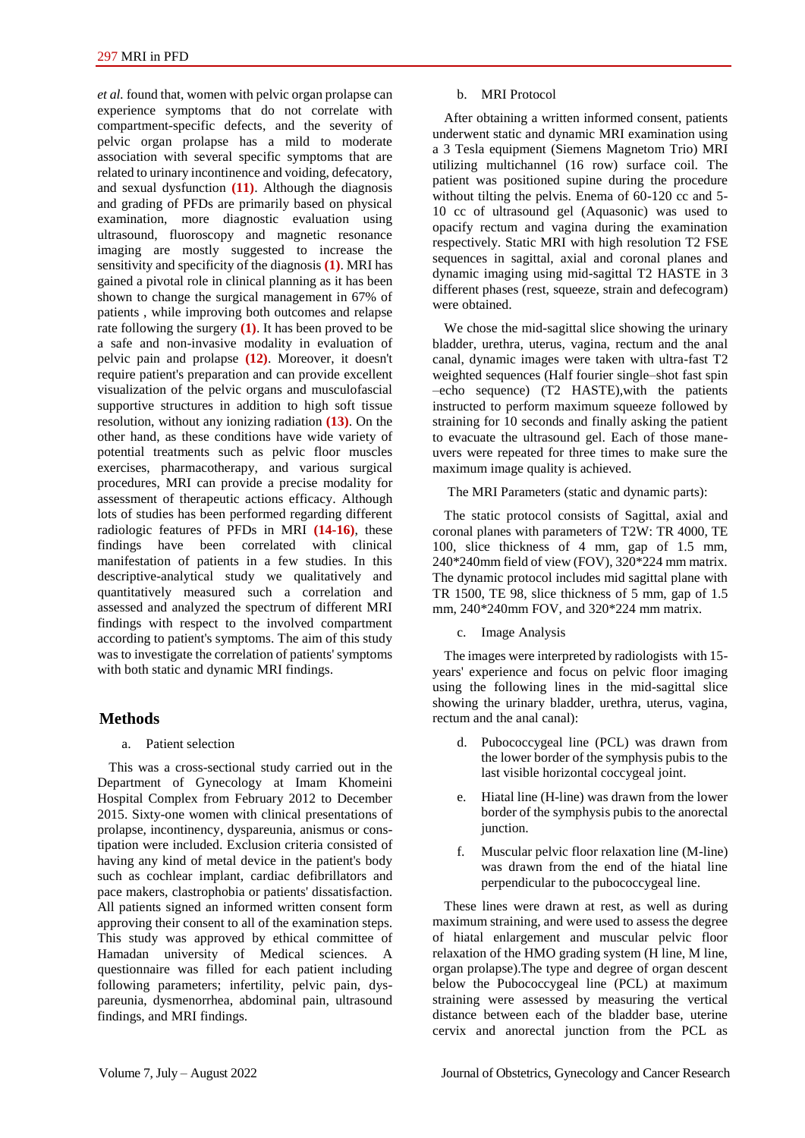*et al.* found that, women with pelvic organ prolapse can experience symptoms that do not correlate with compartment-specific defects, and the severity of pelvic organ prolapse has a mild to moderate association with several specific symptoms that are related to urinary incontinence and voiding, defecatory, and sexual dysfunction **(11)**. Although the diagnosis and grading of PFDs are primarily based on physical examination, more diagnostic evaluation using ultrasound, fluoroscopy and magnetic resonance imaging are mostly suggested to increase the sensitivity and specificity of the diagnosis **(1)**. MRI has gained a pivotal role in clinical planning as it has been shown to change the surgical management in 67% of patients , while improving both outcomes and relapse rate following the surgery **(1)**. It has been proved to be a safe and non-invasive modality in evaluation of pelvic pain and prolapse **(12)**. Moreover, it doesn't require patient's preparation and can provide excellent visualization of the pelvic organs and musculofascial supportive structures in addition to high soft tissue resolution, without any ionizing radiation **(13)**. On the other hand, as these conditions have wide variety of potential treatments such as pelvic floor muscles exercises, pharmacotherapy, and various surgical procedures, MRI can provide a precise modality for assessment of therapeutic actions efficacy. Although lots of studies has been performed regarding different radiologic features of PFDs in MRI **(14-16)**, these findings have been correlated with clinical manifestation of patients in a few studies. In this descriptive-analytical study we qualitatively and quantitatively measured such a correlation and assessed and analyzed the spectrum of different MRI findings with respect to the involved compartment according to patient's symptoms. The aim of this study was to investigate the correlation of patients' symptoms with both static and dynamic MRI findings.

## **Methods**

#### a. Patient selection

This was a cross-sectional study carried out in the Department of Gynecology at Imam Khomeini Hospital Complex from February 2012 to December 2015. Sixty-one women with clinical presentations of prolapse, incontinency, dyspareunia, anismus or constipation were included. Exclusion criteria consisted of having any kind of metal device in the patient's body such as cochlear implant, cardiac defibrillators and pace makers, clastrophobia or patients' dissatisfaction. All patients signed an informed written consent form approving their consent to all of the examination steps. This study was approved by ethical committee of Hamadan university of Medical sciences. A questionnaire was filled for each patient including following parameters; infertility, pelvic pain, dyspareunia, dysmenorrhea, abdominal pain, ultrasound findings, and MRI findings.

#### b. MRI Protocol

After obtaining a written informed consent, patients underwent static and dynamic MRI examination using a 3 Tesla equipment (Siemens Magnetom Trio) MRI utilizing multichannel (16 row) surface coil. The patient was positioned supine during the procedure without tilting the pelvis. Enema of 60-120 cc and 5- 10 cc of ultrasound gel (Aquasonic) was used to opacify rectum and vagina during the examination respectively. Static MRI with high resolution T2 FSE sequences in sagittal, axial and coronal planes and dynamic imaging using mid-sagittal T2 HASTE in 3 different phases (rest, squeeze, strain and defecogram) were obtained.

We chose the mid-sagittal slice showing the urinary bladder, urethra, uterus, vagina, rectum and the anal canal, dynamic images were taken with ultra-fast T2 weighted sequences (Half fourier single–shot fast spin –echo sequence) (T2 HASTE),with the patients instructed to perform maximum squeeze followed by straining for 10 seconds and finally asking the patient to evacuate the ultrasound gel. Each of those maneuvers were repeated for three times to make sure the maximum image quality is achieved.

The MRI Parameters (static and dynamic parts):

The static protocol consists of Sagittal, axial and coronal planes with parameters of T2W: TR 4000, TE 100, slice thickness of 4 mm, gap of 1.5 mm, 240\*240mm field of view (FOV), 320\*224 mm matrix. The dynamic protocol includes mid sagittal plane with TR 1500, TE 98, slice thickness of 5 mm, gap of 1.5 mm, 240\*240mm FOV, and 320\*224 mm matrix.

#### c. Image Analysis

The images were interpreted by radiologists with 15 years' experience and focus on pelvic floor imaging using the following lines in the mid-sagittal slice showing the urinary bladder, urethra, uterus, vagina, rectum and the anal canal):

- d. Pubococcygeal line (PCL) was drawn from the lower border of the symphysis pubis to the last visible horizontal coccygeal joint.
- e. Hiatal line (H-line) was drawn from the lower border of the symphysis pubis to the anorectal junction.
- f. Muscular pelvic floor relaxation line (M-line) was drawn from the end of the hiatal line perpendicular to the pubococcygeal line.

These lines were drawn at rest, as well as during maximum straining, and were used to assess the degree of hiatal enlargement and muscular pelvic floor relaxation of the HMO grading system (H line, M line, organ prolapse).The type and degree of organ descent below the Pubococcygeal line (PCL) at maximum straining were assessed by measuring the vertical distance between each of the bladder base, uterine cervix and anorectal junction from the PCL as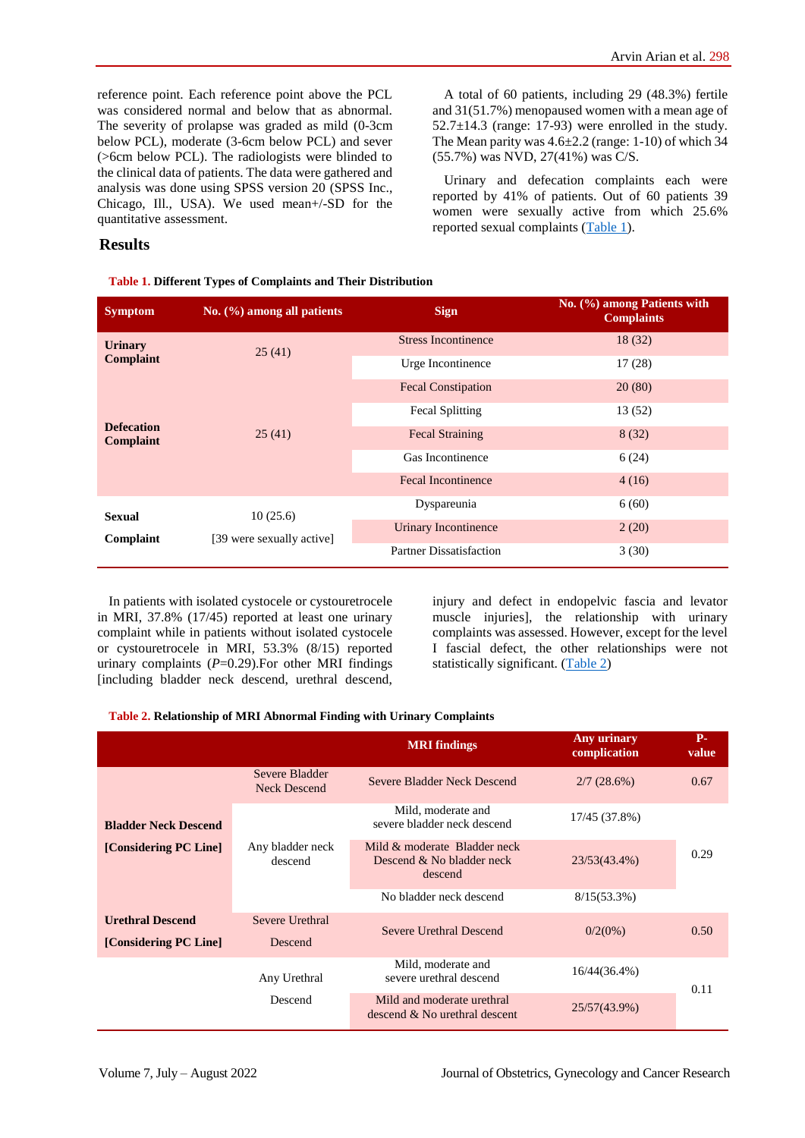reference point. Each reference point above the PCL was considered normal and below that as abnormal. The severity of prolapse was graded as mild (0-3cm below PCL), moderate (3-6cm below PCL) and sever (>6cm below PCL). The radiologists were blinded to the clinical data of patients. The data were gathered and analysis was done using SPSS version 20 (SPSS Inc., Chicago, Ill., USA). We used mean+/-SD for the quantitative assessment.

<span id="page-2-0"></span>**Table 1. Different Types of Complaints and Their Distribution**

A total of 60 patients, including 29 (48.3%) fertile and 31(51.7%) menopaused women with a mean age of  $52.7 \pm 14.3$  (range: 17-93) were enrolled in the study. The Mean parity was  $4.6\pm2.2$  (range: 1-10) of which 34 (55.7%) was NVD, 27(41%) was C/S.

Urinary and defecation complaints each were reported by 41% of patients. Out of 60 patients 39 women were sexually active from which 25.6% reported sexual complaints [\(Table 1\)](#page-2-0).

## **Results**

| <b>Symptom</b>                        | No. $(\% )$ among all patients        | <b>Sign</b>                    | No. (%) among Patients with<br><b>Complaints</b> |
|---------------------------------------|---------------------------------------|--------------------------------|--------------------------------------------------|
| <b>Urinary</b>                        | 25(41)                                | <b>Stress Incontinence</b>     | 18(32)                                           |
| <b>Complaint</b>                      |                                       | Urge Incontinence              | 17(28)                                           |
|                                       | 25(41)                                | <b>Fecal Constipation</b>      | 20(80)                                           |
|                                       |                                       | <b>Fecal Splitting</b>         | 13(52)                                           |
| <b>Defecation</b><br><b>Complaint</b> |                                       | <b>Fecal Straining</b>         | 8(32)                                            |
|                                       |                                       | Gas Incontinence               | 6(24)                                            |
|                                       |                                       | <b>Fecal Incontinence</b>      | 4(16)                                            |
| <b>Sexual</b>                         | 10(25.6)<br>[39 were sexually active] | Dyspareunia                    | 6(60)                                            |
| Complaint                             |                                       | Urinary Incontinence           | 2(20)                                            |
|                                       |                                       | <b>Partner Dissatisfaction</b> | 3(30)                                            |

In patients with isolated cystocele or cystouretrocele in MRI, 37.8% (17/45) reported at least one urinary complaint while in patients without isolated cystocele or cystouretrocele in MRI, 53.3% (8/15) reported urinary complaints  $(P=0.29)$ . For other MRI findings [including bladder neck descend, urethral descend,

injury and defect in endopelvic fascia and levator muscle injuries], the relationship with urinary complaints was assessed. However, except for the level I fascial defect, the other relationships were not statistically significant. [\(Table 2\)](#page-2-1)

| Table 2. Relationship of MRI Abnormal Finding with Urinary Complaints |  |  |  |
|-----------------------------------------------------------------------|--|--|--|
|                                                                       |  |  |  |

<span id="page-2-1"></span>

|                                                  |                                       | <b>MRI</b> findings                                                  | <b>Any urinary</b><br>complication | $P-$<br>value |
|--------------------------------------------------|---------------------------------------|----------------------------------------------------------------------|------------------------------------|---------------|
|                                                  | Severe Bladder<br><b>Neck Descend</b> | Severe Bladder Neck Descend                                          | 2/7(28.6%)                         | 0.67          |
| <b>Bladder Neck Descend</b>                      |                                       | Mild, moderate and<br>severe bladder neck descend                    | 17/45 (37.8%)                      |               |
| [Considering PC Line]                            | Any bladder neck<br>descend           | Mild & moderate Bladder neck<br>Descend & No bladder neck<br>descend | 23/53(43.4%)                       | 0.29          |
|                                                  |                                       | No bladder neck descend                                              | $8/15(53.3\%)$                     |               |
| <b>Urethral Descend</b><br>[Considering PC Line] | Severe Urethral<br>Descend            | Severe Urethral Descend                                              | $0/2(0\%)$                         | 0.50          |
|                                                  | Any Urethral                          | Mild, moderate and<br>severe urethral descend                        | $16/44(36.4\%)$                    | 0.11          |
|                                                  | Descend                               | Mild and moderate urethral<br>descend & No urethral descent          | 25/57(43.9%)                       |               |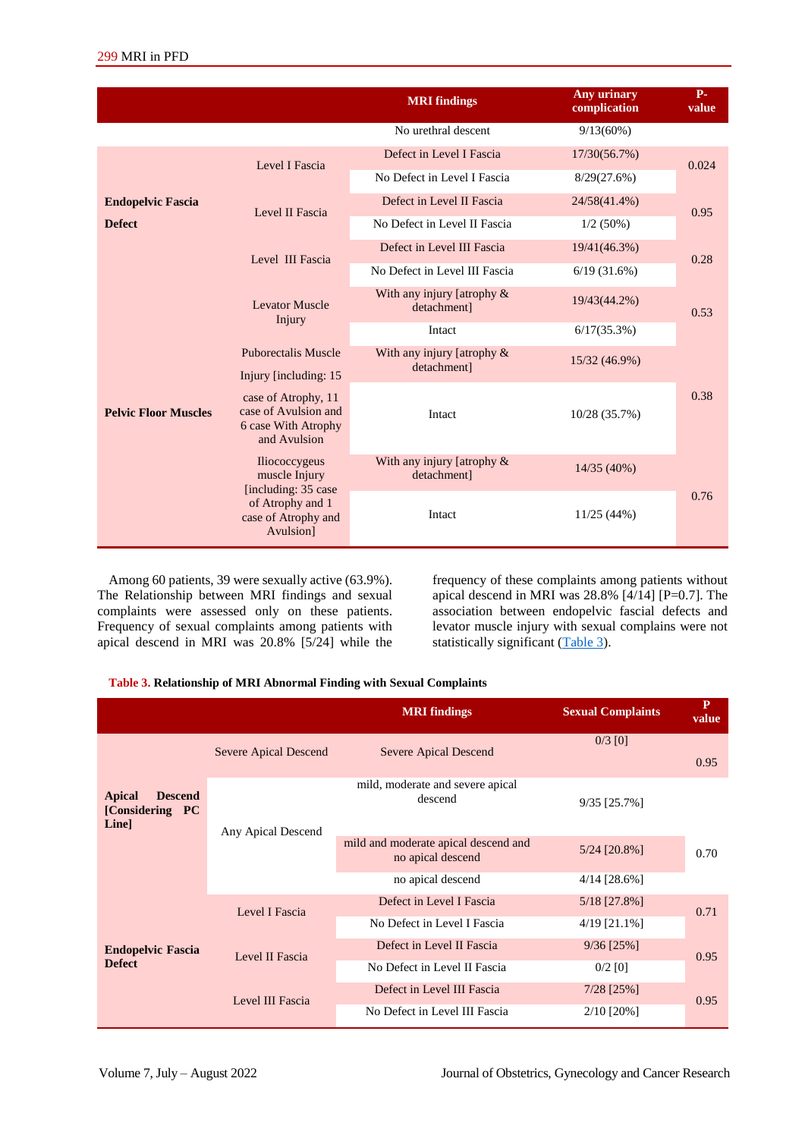|                             |                                                                                    | <b>MRI</b> findings                       | <b>Any urinary</b><br>complication | $P-$<br>value |
|-----------------------------|------------------------------------------------------------------------------------|-------------------------------------------|------------------------------------|---------------|
|                             |                                                                                    | No urethral descent                       | 9/13(60%)                          |               |
|                             | Level I Fascia                                                                     | Defect in Level I Fascia                  | 17/30(56.7%)                       | 0.024         |
|                             |                                                                                    | No Defect in Level I Fascia               | 8/29(27.6%)                        |               |
| <b>Endopelvic Fascia</b>    | Level II Fascia                                                                    | Defect in Level II Fascia                 | 24/58(41.4%)                       | 0.95          |
| <b>Defect</b>               |                                                                                    | No Defect in Level II Fascia              | 1/2(50%)                           |               |
|                             | Level III Fascia                                                                   | Defect in Level III Fascia                | 19/41(46.3%)                       | 0.28          |
|                             |                                                                                    | No Defect in Level III Fascia             | 6/19(31.6%)                        |               |
|                             | <b>Levator Muscle</b><br>Injury                                                    | With any injury [atrophy &<br>detachment] | 19/43(44.2%)                       | 0.53          |
|                             |                                                                                    | Intact                                    | $6/17(35.3\%)$                     |               |
|                             | <b>Puborectalis Muscle</b><br>Injury [including: 15]                               | With any injury [atrophy &<br>detachment] | 15/32 (46.9%)                      |               |
| <b>Pelvic Floor Muscles</b> | case of Atrophy, 11<br>case of Avulsion and<br>6 case With Atrophy<br>and Avulsion | Intact                                    | 10/28 (35.7%)                      | 0.38          |
|                             | <b>Iliococcygeus</b><br>muscle Injury                                              | With any injury [atrophy &<br>detachment] | 14/35 (40%)                        |               |
|                             | [including: 35 case]<br>of Atrophy and 1<br>case of Atrophy and<br>Avulsion]       | Intact                                    | 11/25(44%)                         | 0.76          |

Among 60 patients, 39 were sexually active (63.9%). The Relationship between MRI findings and sexual complaints were assessed only on these patients. Frequency of sexual complaints among patients with apical descend in MRI was 20.8% [5/24] while the frequency of these complaints among patients without apical descend in MRI was 28.8% [4/14] [P=0.7]. The association between endopelvic fascial defects and levator muscle injury with sexual complains were not statistically significant [\(Table 3\)](#page-3-0).

#### <span id="page-3-0"></span>**Table 3. Relationship of MRI Abnormal Finding with Sexual Complaints**

|                                                            |                                   | <b>MRI</b> findings                                       | <b>Sexual Complaints</b> | $\mathbf{P}$<br>value |
|------------------------------------------------------------|-----------------------------------|-----------------------------------------------------------|--------------------------|-----------------------|
|                                                            | Severe Apical Descend             | <b>Severe Apical Descend</b>                              | $0/3$ [0]                | 0.95                  |
| Apical<br><b>Descend</b><br>[Considering PC<br><b>Line</b> | Any Apical Descend                | mild, moderate and severe apical<br>descend               | $9/35$ [25.7%]           |                       |
|                                                            |                                   | mild and moderate apical descend and<br>no apical descend | 5/24 [20.8%]             | 0.70                  |
|                                                            |                                   | no apical descend                                         | $4/14$ [28.6%]           |                       |
|                                                            | Level I Fascia<br>Level II Fascia | Defect in Level I Fascia                                  | 5/18 [27.8%]             | 0.71                  |
|                                                            |                                   | No Defect in Level I Fascia                               | $4/19$ [21.1%]           |                       |
| <b>Endopelvic Fascia</b>                                   |                                   | Defect in Level II Fascia                                 | $9/36$ [25%]             | 0.95                  |
| <b>Defect</b>                                              |                                   | No Defect in Level II Fascia                              | $0/2$ [0]                |                       |
|                                                            | Level III Fascia                  | Defect in Level III Fascia                                | $7/28$ [25%]             | 0.95                  |
|                                                            |                                   | No Defect in Level III Fascia                             | $2/10$ [20%]             |                       |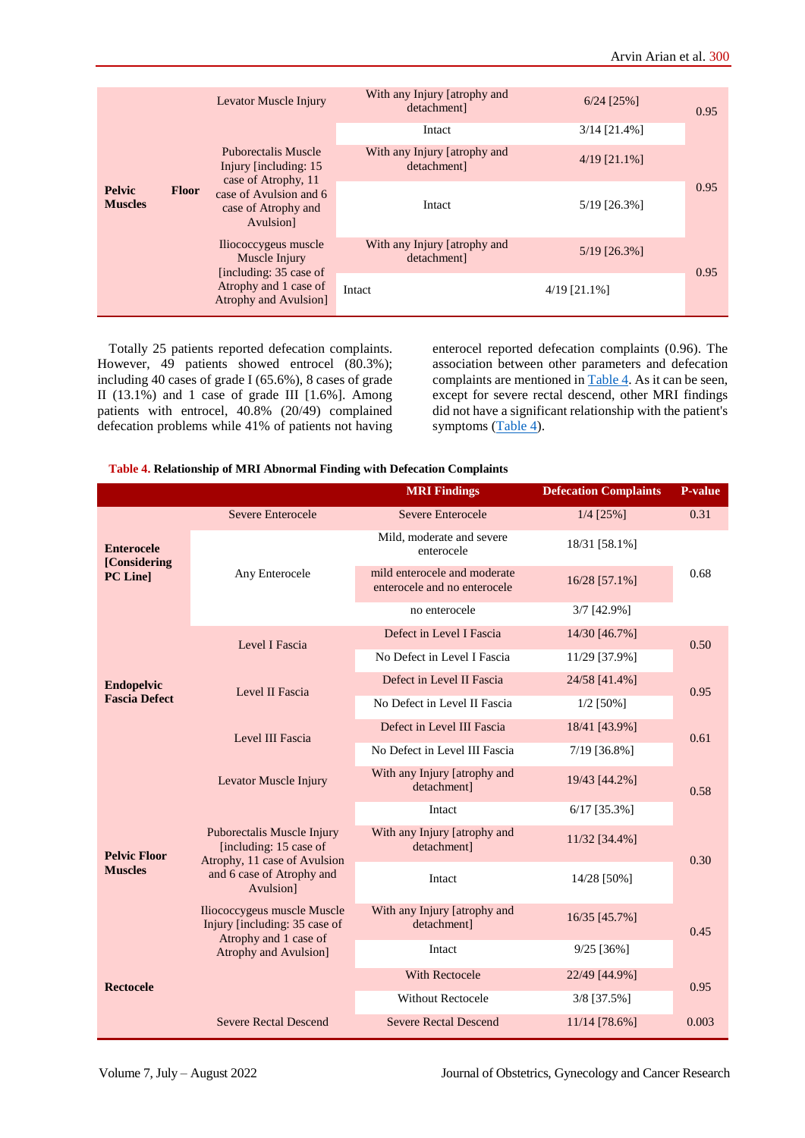|                                                 |                                                                                                                                                      | Levator Muscle Injury                                | With any Injury [atrophy and<br>detachment] | $6/24$ [25%]   | 0.95 |
|-------------------------------------------------|------------------------------------------------------------------------------------------------------------------------------------------------------|------------------------------------------------------|---------------------------------------------|----------------|------|
|                                                 |                                                                                                                                                      |                                                      | Intact                                      | $3/14$ [21.4%] |      |
| <b>Pelvic</b><br><b>Floor</b><br><b>Muscles</b> |                                                                                                                                                      | <b>Puborectalis Muscle</b><br>Injury [including: 15] | With any Injury [atrophy and<br>detachment] | $4/19$ [21.1%] |      |
|                                                 | case of Atrophy, 11<br>case of Avulsion and 6<br>case of Atrophy and<br>Avulsion]<br>Iliococcygeus muscle<br>Muscle Injury<br>[including: 35 case of | Intact                                               | $5/19$ [26.3%]                              | 0.95           |      |
|                                                 |                                                                                                                                                      | With any Injury [atrophy and<br>detachment]          | $5/19$ [26.3%]                              | 0.95           |      |
|                                                 |                                                                                                                                                      | Atrophy and 1 case of<br>Atrophy and Avulsion]       | Intact                                      | $4/19$ [21.1%] |      |

Totally 25 patients reported defecation complaints. However, 49 patients showed entrocel (80.3%); including 40 cases of grade I (65.6%), 8 cases of grade II (13.1%) and 1 case of grade III [1.6%]. Among patients with entrocel, 40.8% (20/49) complained defecation problems while 41% of patients not having

enterocel reported defecation complaints (0.96). The association between other parameters and defecation complaints are mentioned in [Table 4.](#page-4-0) As it can be seen, except for severe rectal descend, other MRI findings did not have a significant relationship with the patient's symptoms [\(Table 4\)](#page-4-0).

#### <span id="page-4-0"></span>**Table 4. Relationship of MRI Abnormal Finding with Defecation Complaints**

|                                   |                                                                                                                                | <b>MRI Findings</b>                                          | <b>Defecation Complaints</b> | <b>P-value</b> |
|-----------------------------------|--------------------------------------------------------------------------------------------------------------------------------|--------------------------------------------------------------|------------------------------|----------------|
|                                   | <b>Severe Enterocele</b>                                                                                                       | Severe Enterocele                                            | $1/4$ [25%]                  | 0.31           |
| <b>Enterocele</b><br>[Considering |                                                                                                                                | Mild, moderate and severe<br>enterocele                      | 18/31 [58.1%]                |                |
| PC Line                           | Any Enterocele                                                                                                                 | mild enterocele and moderate<br>enterocele and no enterocele | 16/28 [57.1%]                | 0.68           |
|                                   |                                                                                                                                | no enterocele                                                | $3/7$ [42.9%]                |                |
|                                   | Level I Fascia                                                                                                                 | Defect in Level I Fascia                                     | 14/30 [46.7%]                | 0.50           |
|                                   |                                                                                                                                | No Defect in Level I Fascia                                  | 11/29 [37.9%]                |                |
| <b>Endopelvic</b>                 | Level II Fascia                                                                                                                | Defect in Level II Fascia                                    | 24/58 [41.4%]                | 0.95           |
| <b>Fascia Defect</b>              |                                                                                                                                | No Defect in Level II Fascia                                 | $1/2$ [50%]                  |                |
|                                   | Level III Fascia                                                                                                               | Defect in Level III Fascia                                   | 18/41 [43.9%]                | 0.61           |
|                                   |                                                                                                                                | No Defect in Level III Fascia                                | 7/19 [36.8%]                 |                |
|                                   | Levator Muscle Injury                                                                                                          | With any Injury [atrophy and<br>detachment]                  | 19/43 [44.2%]                | 0.58           |
|                                   |                                                                                                                                | Intact                                                       | $6/17$ [35.3%]               |                |
| <b>Pelvic Floor</b>               | Puborectalis Muscle Injury<br>[including: 15 case of<br>Atrophy, 11 case of Avulsion<br>and 6 case of Atrophy and<br>Avulsion] | With any Injury [atrophy and<br>detachment]                  | 11/32 [34.4%]                | 0.30           |
| <b>Muscles</b>                    |                                                                                                                                | Intact                                                       | 14/28 [50%]                  |                |
|                                   | Iliococcygeus muscle Muscle<br>Injury [including: 35 case of                                                                   | With any Injury [atrophy and<br>detachment]                  | 16/35 [45.7%]                | 0.45           |
|                                   | Atrophy and 1 case of<br><b>Atrophy and Avulsion</b> ]                                                                         | Intact                                                       | $9/25$ [36%]                 |                |
|                                   |                                                                                                                                | <b>With Rectocele</b>                                        | 22/49 [44.9%]                |                |
| <b>Rectocele</b>                  |                                                                                                                                | <b>Without Rectocele</b>                                     | 3/8 [37.5%]                  | 0.95           |
|                                   | <b>Severe Rectal Descend</b>                                                                                                   | <b>Severe Rectal Descend</b>                                 | 11/14 [78.6%]                | 0.003          |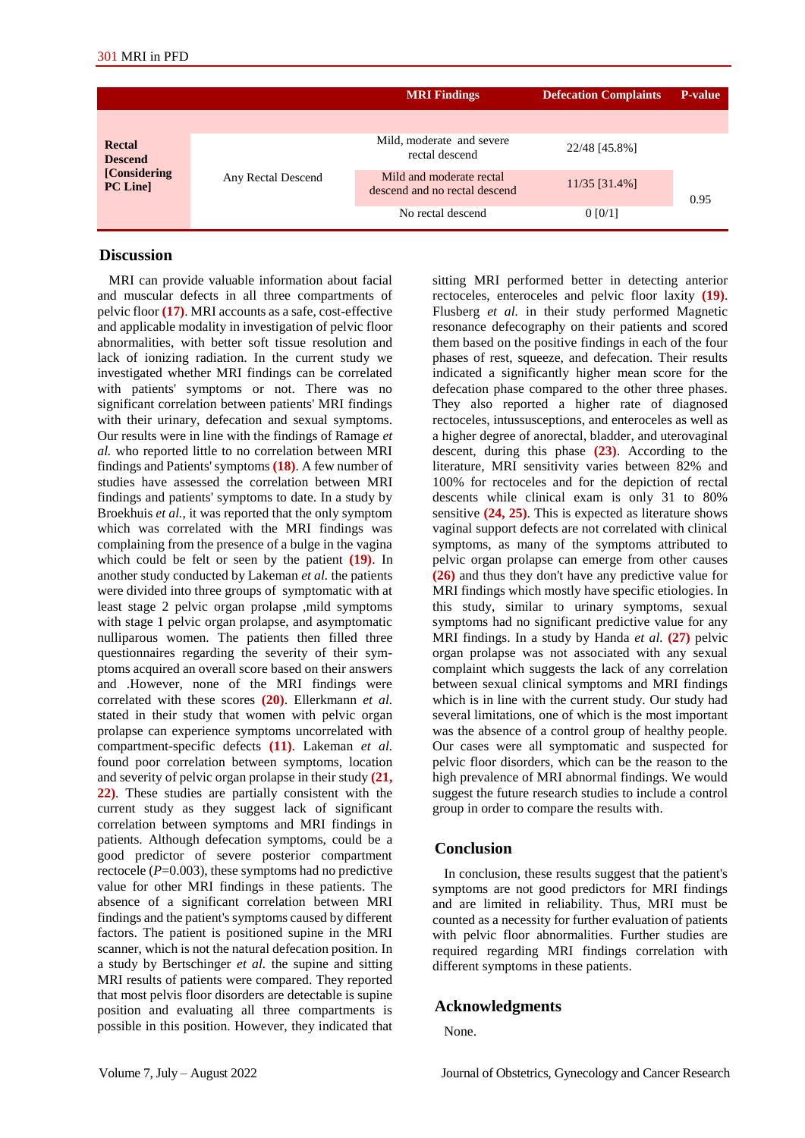|                                                              |                    | <b>MRI</b> Findings                                       | <b>Defecation Complaints</b> | <b>P-value</b> |
|--------------------------------------------------------------|--------------------|-----------------------------------------------------------|------------------------------|----------------|
|                                                              |                    |                                                           |                              |                |
| <b>Rectal</b><br><b>Descend</b><br>[Considering]<br>PC Line] | Any Rectal Descend | Mild, moderate and severe.<br>rectal descend              | 22/48 [45.8%]                |                |
|                                                              |                    | Mild and moderate rectal<br>descend and no rectal descend | 11/35 [31.4%]                | 0.95           |
|                                                              |                    | No rectal descend                                         | 0 [0/1]                      |                |

#### **Discussion**

MRI can provide valuable information about facial and muscular defects in all three compartments of pelvic floor **(17)**. MRI accounts as a safe, cost-effective and applicable modality in investigation of pelvic floor abnormalities, with better soft tissue resolution and lack of ionizing radiation. In the current study we investigated whether MRI findings can be correlated with patients' symptoms or not. There was no significant correlation between patients' MRI findings with their urinary, defecation and sexual symptoms. Our results were in line with the findings of Ramage *et al.* who reported little to no correlation between MRI findings and Patients' symptoms **(18)**. A few number of studies have assessed the correlation between MRI findings and patients' symptoms to date. In a study by Broekhuis *et al.*, it was reported that the only symptom which was correlated with the MRI findings was complaining from the presence of a bulge in the vagina which could be felt or seen by the patient **(19)**. In another study conducted by Lakeman *et al.* the patients were divided into three groups of symptomatic with at least stage 2 pelvic organ prolapse ,mild symptoms with stage 1 pelvic organ prolapse, and asymptomatic nulliparous women. The patients then filled three questionnaires regarding the severity of their symptoms acquired an overall score based on their answers and .However, none of the MRI findings were correlated with these scores **(20)**. Ellerkmann *et al.*  stated in their study that women with pelvic organ prolapse can experience symptoms uncorrelated with compartment-specific defects **(11)**. Lakeman *et al.*  found poor correlation between symptoms, location and severity of pelvic organ prolapse in their study **(21, 22)**. These studies are partially consistent with the current study as they suggest lack of significant correlation between symptoms and MRI findings in patients. Although defecation symptoms, could be a good predictor of severe posterior compartment rectocele (*P*=0.003), these symptoms had no predictive value for other MRI findings in these patients. The absence of a significant correlation between MRI findings and the patient's symptoms caused by different factors. The patient is positioned supine in the MRI scanner, which is not the natural defecation position. In a study by Bertschinger *et al.* the supine and sitting MRI results of patients were compared. They reported that most pelvis floor disorders are detectable is supine position and evaluating all three compartments is possible in this position. However, they indicated that sitting MRI performed better in detecting anterior rectoceles, enteroceles and pelvic floor laxity **(19)**. Flusberg *et al.* in their study performed Magnetic resonance defecography on their patients and scored them based on the positive findings in each of the four phases of rest, squeeze, and defecation. Their results indicated a significantly higher mean score for the defecation phase compared to the other three phases. They also reported a higher rate of diagnosed rectoceles, intussusceptions, and enteroceles as well as a higher degree of anorectal, bladder, and uterovaginal descent, during this phase **(23)**. According to the literature, MRI sensitivity varies between 82% and 100% for rectoceles and for the depiction of rectal descents while clinical exam is only 31 to 80% sensitive **(24, 25)**. This is expected as literature shows vaginal support defects are not correlated with clinical symptoms, as many of the symptoms attributed to pelvic organ prolapse can emerge from other causes **(26)** and thus they don't have any predictive value for MRI findings which mostly have specific etiologies. In this study, similar to urinary symptoms, sexual symptoms had no significant predictive value for any MRI findings. In a study by Handa *et al.* **(27)** pelvic organ prolapse was not associated with any sexual complaint which suggests the lack of any correlation between sexual clinical symptoms and MRI findings which is in line with the current study. Our study had several limitations, one of which is the most important was the absence of a control group of healthy people. Our cases were all symptomatic and suspected for pelvic floor disorders, which can be the reason to the high prevalence of MRI abnormal findings. We would suggest the future research studies to include a control group in order to compare the results with.

## **Conclusion**

In conclusion, these results suggest that the patient's symptoms are not good predictors for MRI findings and are limited in reliability. Thus, MRI must be counted as a necessity for further evaluation of patients with pelvic floor abnormalities. Further studies are required regarding MRI findings correlation with different symptoms in these patients.

## **Acknowledgments**

None.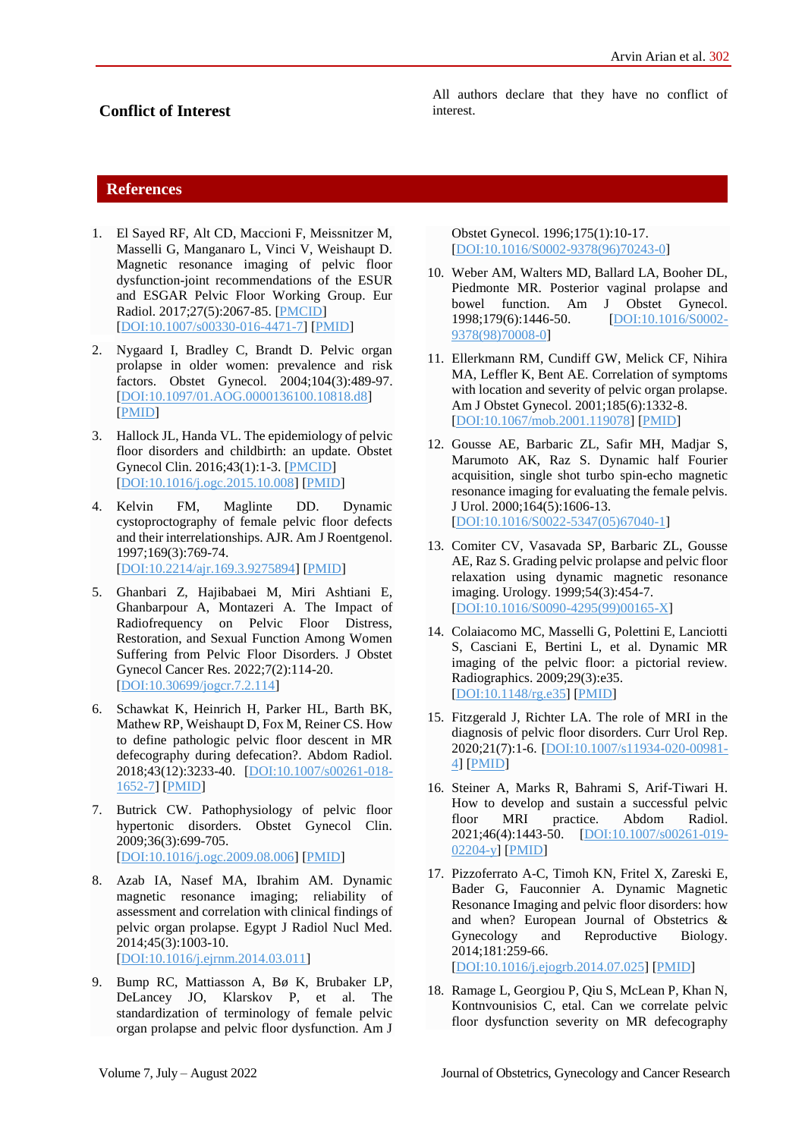# **Conflict of Interest**

All authors declare that they have no conflict of interest.

## **References**

- 1. El Sayed RF, Alt CD, Maccioni F, Meissnitzer M, Masselli G, Manganaro L, Vinci V, Weishaupt D. Magnetic resonance imaging of pelvic floor dysfunction-joint recommendations of the ESUR and ESGAR Pelvic Floor Working Group. Eur Radiol. 2017;27(5):2067-85. [\[PMCID\]](http://www.ncbi.nlm.nih.gov/pmc/articles/PMC5374191) [\[DOI:10.1007/s00330-016-4471-7\]](https://doi.org/10.1007/s00330-016-4471-7) [\[PMID\]](https://www.ncbi.nlm.nih.gov/pubmed/27488850)
- 2. Nygaard I, Bradley C, Brandt D. Pelvic organ prolapse in older women: prevalence and risk factors. Obstet Gynecol. 2004;104(3):489-97. [\[DOI:10.1097/01.AOG.0000136100.10818.d8\]](https://doi.org/10.1097/01.AOG.0000136100.10818.d8) [\[PMID\]](https://www.ncbi.nlm.nih.gov/pubmed/15339758)
- 3. Hallock JL, Handa VL. The epidemiology of pelvic floor disorders and childbirth: an update. Obstet Gynecol Clin. 2016;43(1):1-3. [\[PMCID\]](http://www.ncbi.nlm.nih.gov/pmc/articles/PMC4757815) [\[DOI:10.1016/j.ogc.2015.10.008\]](https://doi.org/10.1016/j.ogc.2015.10.008) [\[PMID\]](https://www.ncbi.nlm.nih.gov/pubmed/26880504)
- 4. Kelvin FM, Maglinte DD. Dynamic cystoproctography of female pelvic floor defects and their interrelationships. AJR. Am J Roentgenol. 1997;169(3):769-74. [\[DOI:10.2214/ajr.169.3.9275894\]](https://doi.org/10.2214/ajr.169.3.9275894) [\[PMID\]](https://www.ncbi.nlm.nih.gov/pubmed/9275894)
- 5. Ghanbari Z, Hajibabaei M, Miri Ashtiani E, Ghanbarpour A, Montazeri A. The Impact of Radiofrequency on Pelvic Floor Distress, Restoration, and Sexual Function Among Women Suffering from Pelvic Floor Disorders. J Obstet Gynecol Cancer Res. 2022;7(2):114-20. [\[DOI:10.30699/jogcr.7.2.114\]](https://doi.org/10.30699/jogcr.7.2.114)
- 6. Schawkat K, Heinrich H, Parker HL, Barth BK, Mathew RP, Weishaupt D, Fox M, Reiner CS. How to define pathologic pelvic floor descent in MR defecography during defecation?. Abdom Radiol. 2018;43(12):3233-40. [\[DOI:10.1007/s00261-018-](https://doi.org/10.1007/s00261-018-1652-7) [1652-7\]](https://doi.org/10.1007/s00261-018-1652-7) [\[PMID\]](https://www.ncbi.nlm.nih.gov/pubmed/29858938)
- 7. Butrick CW. Pathophysiology of pelvic floor hypertonic disorders. Obstet Gynecol Clin. 2009;36(3):699-705. [\[DOI:10.1016/j.ogc.2009.08.006\]](https://doi.org/10.1016/j.ogc.2009.08.006) [\[PMID\]](https://www.ncbi.nlm.nih.gov/pubmed/19932422)
- 8. Azab IA, Nasef MA, Ibrahim AM. Dynamic magnetic resonance imaging; reliability of assessment and correlation with clinical findings of pelvic organ prolapse. Egypt J Radiol Nucl Med. 2014;45(3):1003-10. [\[DOI:10.1016/j.ejrnm.2014.03.011\]](https://doi.org/10.1016/j.ejrnm.2014.03.011)
- 9. Bump RC, Mattiasson A, Bø K, Brubaker LP, DeLancey JO, Klarskov P, et al. The standardization of terminology of female pelvic organ prolapse and pelvic floor dysfunction. Am J

Obstet Gynecol. 1996;175(1):10-17. [\[DOI:10.1016/S0002-9378\(96\)70243-0\]](https://doi.org/10.1016/S0002-9378(96)70243-0)

- 10. Weber AM, Walters MD, Ballard LA, Booher DL, Piedmonte MR. Posterior vaginal prolapse and bowel function. Am J Obstet Gynecol. 1998;179(6):1446-50. [\[DOI:10.1016/S0002-](https://doi.org/10.1016/S0002-9378(98)70008-0) [9378\(98\)70008-0\]](https://doi.org/10.1016/S0002-9378(98)70008-0)
- 11. Ellerkmann RM, Cundiff GW, Melick CF, Nihira MA, Leffler K, Bent AE. Correlation of symptoms with location and severity of pelvic organ prolapse. Am J Obstet Gynecol. 2001;185(6):1332-8. [\[DOI:10.1067/mob.2001.119078\]](https://doi.org/10.1067/mob.2001.119078) [\[PMID\]](https://www.ncbi.nlm.nih.gov/pubmed/11744905)
- 12. Gousse AE, Barbaric ZL, Safir MH, Madjar S, Marumoto AK, Raz S. Dynamic half Fourier acquisition, single shot turbo spin-echo magnetic resonance imaging for evaluating the female pelvis. J Urol. 2000;164(5):1606-13. [\[DOI:10.1016/S0022-5347\(05\)67040-1\]](https://doi.org/10.1016/S0022-5347(05)67040-1)
- 13. Comiter CV, Vasavada SP, Barbaric ZL, Gousse AE, Raz S. Grading pelvic prolapse and pelvic floor relaxation using dynamic magnetic resonance imaging. Urology. 1999;54(3):454-7. [\[DOI:10.1016/S0090-4295\(99\)00165-X\]](https://doi.org/10.1016/S0090-4295(99)00165-X)
- 14. Colaiacomo MC, Masselli G, Polettini E, Lanciotti S, Casciani E, Bertini L, et al. Dynamic MR imaging of the pelvic floor: a pictorial review. Radiographics. 2009;29(3):e35. [\[DOI:10.1148/rg.e35\]](https://doi.org/10.1148/rg.e35) [\[PMID\]](https://www.ncbi.nlm.nih.gov/pubmed/19270071)
- 15. Fitzgerald J, Richter LA. The role of MRI in the diagnosis of pelvic floor disorders. Curr Urol Rep. 2020;21(7):1-6. [\[DOI:10.1007/s11934-020-00981-](https://doi.org/10.1007/s11934-020-00981-4) [4\]](https://doi.org/10.1007/s11934-020-00981-4) [\[PMID\]](https://www.ncbi.nlm.nih.gov/pubmed/32415411)
- 16. Steiner A, Marks R, Bahrami S, Arif-Tiwari H. How to develop and sustain a successful pelvic floor MRI practice. Abdom Radiol. 2021;46(4):1443-50. [\[DOI:10.1007/s00261-019-](https://doi.org/10.1007/s00261-019-02204-y) [02204-y\]](https://doi.org/10.1007/s00261-019-02204-y) [\[PMID\]](https://www.ncbi.nlm.nih.gov/pubmed/31485786)
- 17. Pizzoferrato A-C, Timoh KN, Fritel X, Zareski E, Bader G, Fauconnier A. Dynamic Magnetic Resonance Imaging and pelvic floor disorders: how and when? European Journal of Obstetrics & Gynecology and Reproductive Biology. 2014;181:259-66. [\[DOI:10.1016/j.ejogrb.2014.07.025\]](https://doi.org/10.1016/j.ejogrb.2014.07.025) [\[PMID\]](https://www.ncbi.nlm.nih.gov/pubmed/25212114)
- 18. Ramage L, Georgiou P, Qiu S, McLean P, Khan N, Kontnvounisios C, etal. Can we correlate pelvic floor dysfunction severity on MR defecography